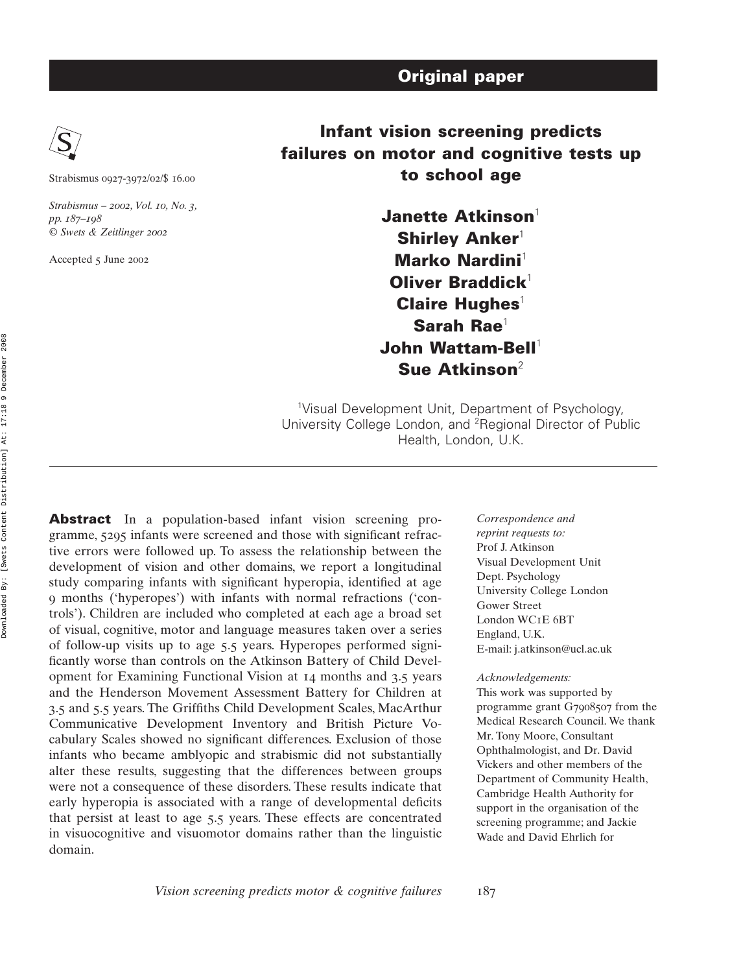# **Original paper**



Strabismus 0927-3972/02/\$ 16.00

*Strabismus – 2002, Vol. 10, No. 3, pp. 187–198 © Swets & Zeitlinger 2002*

Accepted 5 June 2002

**Infant vision screening predicts failures on motor and cognitive tests up to school age**

> **Janette Atkinson**<sup>1</sup> **Shirley Anker<sup>1</sup> Marko Nardini**<sup>1</sup> **Oliver Braddick**<sup>1</sup> **Claire Hughes**<sup>1</sup> **Sarah Rae**<sup>1</sup> **John Wattam-Bell**<sup>1</sup> **Sue Atkinson**<sup>2</sup>

1 Visual Development Unit, Department of Psychology, University College London, and <sup>2</sup>Regional Director of Public Health, London, U.K.

**Abstract** In a population-based infant vision screening programme, 5295 infants were screened and those with significant refractive errors were followed up. To assess the relationship between the development of vision and other domains, we report a longitudinal study comparing infants with significant hyperopia, identified at age 9 months ('hyperopes') with infants with normal refractions ('controls'). Children are included who completed at each age a broad set of visual, cognitive, motor and language measures taken over a series of follow-up visits up to age 5.5 years. Hyperopes performed significantly worse than controls on the Atkinson Battery of Child Development for Examining Functional Vision at 14 months and 3.5 years and the Henderson Movement Assessment Battery for Children at 3.5 and 5.5 years. The Griffiths Child Development Scales, MacArthur Communicative Development Inventory and British Picture Vocabulary Scales showed no significant differences. Exclusion of those infants who became amblyopic and strabismic did not substantially alter these results, suggesting that the differences between groups were not a consequence of these disorders. These results indicate that early hyperopia is associated with a range of developmental deficits that persist at least to age 5.5 years. These effects are concentrated in visuocognitive and visuomotor domains rather than the linguistic domain.

*Correspondence and reprint requests to:* Prof J. Atkinson Visual Development Unit Dept. Psychology University College London Gower Street London WC1E 6BT England, U.K. E-mail: j.atkinson@ucl.ac.uk

*Acknowledgements:*

This work was supported by programme grant G7908507 from the Medical Research Council. We thank Mr. Tony Moore, Consultant Ophthalmologist, and Dr. David Vickers and other members of the Department of Community Health, Cambridge Health Authority for support in the organisation of the screening programme; and Jackie Wade and David Ehrlich for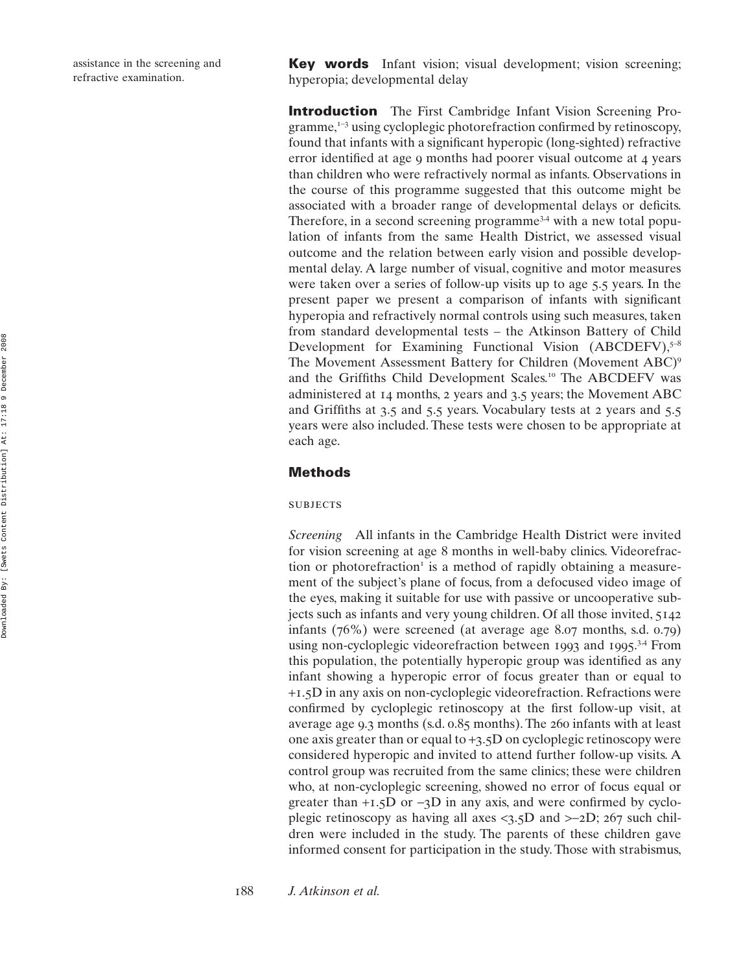assistance in the screening and refractive examination.

**Key words** Infant vision; visual development; vision screening; hyperopia; developmental delay

**Introduction** The First Cambridge Infant Vision Screening Programme,<sup>1-3</sup> using cycloplegic photorefraction confirmed by retinoscopy, found that infants with a significant hyperopic (long-sighted) refractive error identified at age 9 months had poorer visual outcome at 4 years than children who were refractively normal as infants. Observations in the course of this programme suggested that this outcome might be associated with a broader range of developmental delays or deficits. Therefore, in a second screening programme<sup>3,4</sup> with a new total population of infants from the same Health District, we assessed visual outcome and the relation between early vision and possible developmental delay. A large number of visual, cognitive and motor measures were taken over a series of follow-up visits up to age 5.5 years. In the present paper we present a comparison of infants with significant hyperopia and refractively normal controls using such measures, taken from standard developmental tests – the Atkinson Battery of Child Development for Examining Functional Vision  $(ABCDEFV)$ ,  $5^{-8}$ The Movement Assessment Battery for Children (Movement ABC)<sup>9</sup> and the Griffiths Child Development Scales.<sup>10</sup> The ABCDEFV was administered at 14 months, 2 years and 3.5 years; the Movement ABC and Griffiths at 3.5 and 5.5 years. Vocabulary tests at 2 years and 5.5 years were also included. These tests were chosen to be appropriate at each age.

### **Methods**

# **SUBJECTS**

*Screening* All infants in the Cambridge Health District were invited for vision screening at age 8 months in well-baby clinics. Videorefraction or photorefraction<sup> $1$ </sup> is a method of rapidly obtaining a measurement of the subject's plane of focus, from a defocused video image of the eyes, making it suitable for use with passive or uncooperative subjects such as infants and very young children. Of all those invited, 5142 infants (76%) were screened (at average age 8.07 months, s.d. 0.79) using non-cycloplegic videorefraction between 1993 and 1995.<sup>3,4</sup> From this population, the potentially hyperopic group was identified as any infant showing a hyperopic error of focus greater than or equal to +1.5D in any axis on non-cycloplegic videorefraction. Refractions were confirmed by cycloplegic retinoscopy at the first follow-up visit, at average age 9.3 months (s.d. 0.85 months). The 260 infants with at least one axis greater than or equal to +3.5D on cycloplegic retinoscopy were considered hyperopic and invited to attend further follow-up visits. A control group was recruited from the same clinics; these were children who, at non-cycloplegic screening, showed no error of focus equal or greater than  $+1.5D$  or  $-3D$  in any axis, and were confirmed by cycloplegic retinoscopy as having all axes  $\langle 3.5D \rangle$  and  $\langle -2D \rangle$ ; 267 such children were included in the study. The parents of these children gave informed consent for participation in the study. Those with strabismus,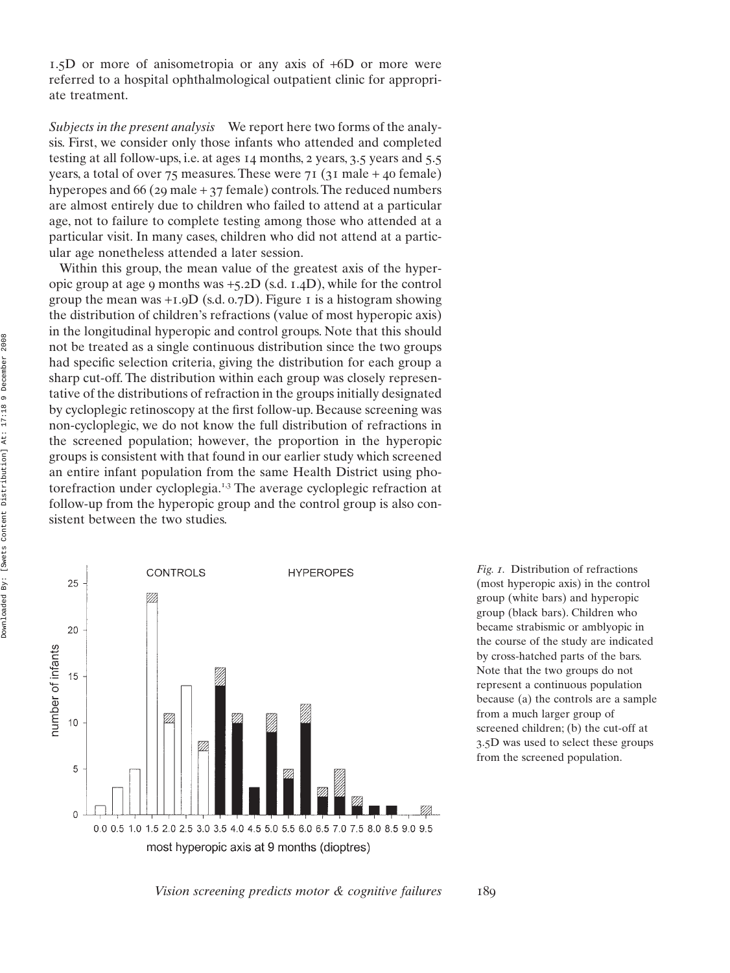1.5D or more of anisometropia or any axis of +6D or more were referred to a hospital ophthalmological outpatient clinic for appropriate treatment.

*Subjects in the present analysis* We report here two forms of the analysis. First, we consider only those infants who attended and completed testing at all follow-ups, i.e. at ages 14 months, 2 years, 3.5 years and 5.5 years, a total of over  $75$  measures. These were  $71$  (31 male + 40 female) hyperopes and 66 (29 male +  $37$  female) controls. The reduced numbers are almost entirely due to children who failed to attend at a particular age, not to failure to complete testing among those who attended at a particular visit. In many cases, children who did not attend at a particular age nonetheless attended a later session.

Within this group, the mean value of the greatest axis of the hyperopic group at age 9 months was  $+5.2D$  (s.d. 1.4D), while for the control group the mean was  $+i.jD$  (s.d. 0.7D). Figure 1 is a histogram showing the distribution of children's refractions (value of most hyperopic axis) in the longitudinal hyperopic and control groups. Note that this should not be treated as a single continuous distribution since the two groups had specific selection criteria, giving the distribution for each group a sharp cut-off. The distribution within each group was closely representative of the distributions of refraction in the groups initially designated by cycloplegic retinoscopy at the first follow-up. Because screening was non-cycloplegic, we do not know the full distribution of refractions in the screened population; however, the proportion in the hyperopic groups is consistent with that found in our earlier study which screened an entire infant population from the same Health District using photorefraction under cycloplegia.<sup>1,3</sup> The average cycloplegic refraction at follow-up from the hyperopic group and the control group is also consistent between the two studies.



*Fig. 1.* Distribution of refractions (most hyperopic axis) in the control group (white bars) and hyperopic group (black bars). Children who became strabismic or amblyopic in the course of the study are indicated by cross-hatched parts of the bars. Note that the two groups do not represent a continuous population because (a) the controls are a sample from a much larger group of screened children; (b) the cut-off at 3.5D was used to select these groups from the screened population.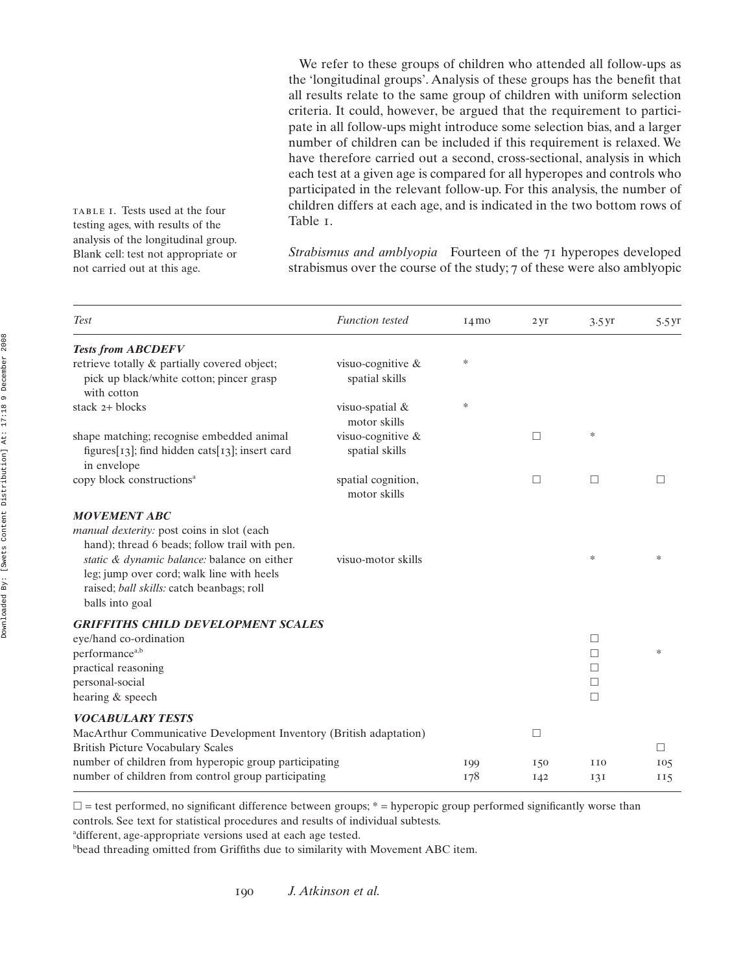We refer to these groups of children who attended all follow-ups as the 'longitudinal groups'. Analysis of these groups has the benefit that all results relate to the same group of children with uniform selection criteria. It could, however, be argued that the requirement to participate in all follow-ups might introduce some selection bias, and a larger number of children can be included if this requirement is relaxed. We have therefore carried out a second, cross-sectional, analysis in which each test at a given age is compared for all hyperopes and controls who participated in the relevant follow-up. For this analysis, the number of children differs at each age, and is indicated in the two bottom rows of Table 1.

*Strabismus and amblyopia* Fourteen of the 71 hyperopes developed strabismus over the course of the study; 7 of these were also amblyopic

| <b>Test</b>                                                                                                                                                                                                                                                                    | <b>Function</b> tested                 | I4m0       | 2 yr                 | $3.5 \,\mathrm{yr}$   | $5.5 \,\mathrm{yr}$ |
|--------------------------------------------------------------------------------------------------------------------------------------------------------------------------------------------------------------------------------------------------------------------------------|----------------------------------------|------------|----------------------|-----------------------|---------------------|
| <b>Tests from ABCDEFV</b>                                                                                                                                                                                                                                                      |                                        |            |                      |                       |                     |
| retrieve totally & partially covered object;<br>pick up black/white cotton; pincer grasp<br>with cotton                                                                                                                                                                        | visuo-cognitive $\&$<br>spatial skills | *          |                      |                       |                     |
| stack 2+ blocks                                                                                                                                                                                                                                                                | visuo-spatial &<br>motor skills        | *          |                      |                       |                     |
| shape matching; recognise embedded animal<br>figures[13]; find hidden cats[13]; insert card<br>in envelope                                                                                                                                                                     | visuo-cognitive $\&$<br>spatial skills |            | П                    | ∗                     |                     |
| copy block constructions <sup>a</sup>                                                                                                                                                                                                                                          | spatial cognition,<br>motor skills     |            | □                    | П                     |                     |
| <b>MOVEMENT ABC</b><br>manual dexterity: post coins in slot (each<br>hand); thread 6 beads; follow trail with pen.<br>static & dynamic balance: balance on either<br>leg; jump over cord; walk line with heels<br>raised; ball skills: catch beanbags; roll<br>balls into goal | visuo-motor skills                     |            |                      | ∗                     | ∗                   |
| <b>GRIFFITHS CHILD DEVELOPMENT SCALES</b><br>eye/hand co-ordination<br>performance <sup>a,b</sup><br>practical reasoning<br>personal-social<br>hearing & speech                                                                                                                |                                        |            |                      | □<br>П<br>Ш<br>□<br>П | ∗                   |
| <b>VOCABULARY TESTS</b><br>MacArthur Communicative Development Inventory (British adaptation)<br><b>British Picture Vocabulary Scales</b><br>number of children from hyperopic group participating<br>number of children from control group participating                      |                                        | 199<br>178 | $\Box$<br>150<br>142 | <b>IIO</b><br>131     | П<br>105<br>115     |

 $\square$  = test performed, no significant difference between groups;  $*$  = hyperopic group performed significantly worse than controls. See text for statistical procedures and results of individual subtests.

adifferent, age-appropriate versions used at each age tested.

table 1. Tests used at the four testing ages, with results of the analysis of the longitudinal group. Blank cell: test not appropriate or not carried out at this age.

bbead threading omitted from Griffiths due to similarity with Movement ABC item.

190*J. Atkinson et al.*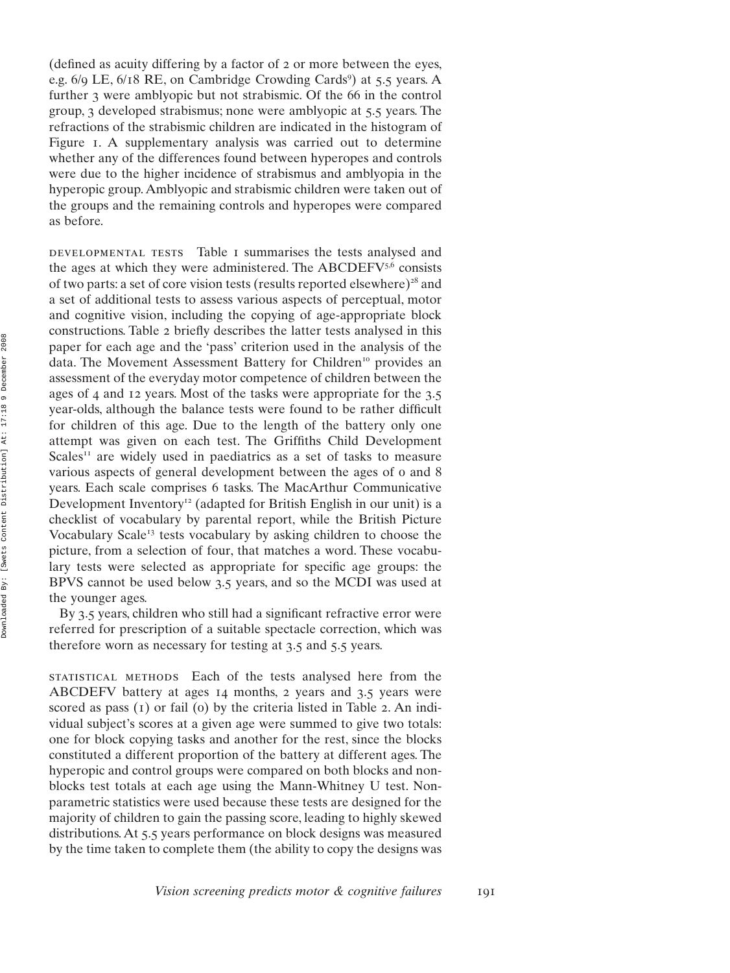(defined as acuity differing by a factor of 2 or more between the eyes, e.g. 6/9 LE, 6/18 RE, on Cambridge Crowding Cards<sup>9</sup>) at 5.5 years. A further 3 were amblyopic but not strabismic. Of the 66 in the control group, 3 developed strabismus; none were amblyopic at 5.5 years. The refractions of the strabismic children are indicated in the histogram of Figure 1. A supplementary analysis was carried out to determine whether any of the differences found between hyperopes and controls were due to the higher incidence of strabismus and amblyopia in the hyperopic group. Amblyopic and strabismic children were taken out of the groups and the remaining controls and hyperopes were compared as before.

DEVELOPMENTAL TESTS Table I summarises the tests analysed and the ages at which they were administered. The ABCDEFV $5,6$  consists of two parts: a set of core vision tests (results reported elsewhere) $28$  and a set of additional tests to assess various aspects of perceptual, motor and cognitive vision, including the copying of age-appropriate block constructions. Table 2 briefly describes the latter tests analysed in this paper for each age and the 'pass' criterion used in the analysis of the data. The Movement Assessment Battery for Children<sup>10</sup> provides an assessment of the everyday motor competence of children between the ages of 4 and 12 years. Most of the tasks were appropriate for the 3.5 year-olds, although the balance tests were found to be rather difficult for children of this age. Due to the length of the battery only one attempt was given on each test. The Griffiths Child Development  $Scales<sup>II</sup>$  are widely used in paediatrics as a set of tasks to measure various aspects of general development between the ages of 0 and 8 years. Each scale comprises 6 tasks. The MacArthur Communicative Development Inventory<sup>12</sup> (adapted for British English in our unit) is a checklist of vocabulary by parental report, while the British Picture Vocabulary Scale<sup>13</sup> tests vocabulary by asking children to choose the picture, from a selection of four, that matches a word. These vocabulary tests were selected as appropriate for specific age groups: the BPVS cannot be used below 3.5 years, and so the MCDI was used at the younger ages.

By 3.5 years, children who still had a significant refractive error were referred for prescription of a suitable spectacle correction, which was therefore worn as necessary for testing at 3.5 and 5.5 years.

statistical methods Each of the tests analysed here from the ABCDEFV battery at ages 14 months, 2 years and 3.5 years were scored as pass (1) or fail (0) by the criteria listed in Table 2. An individual subject's scores at a given age were summed to give two totals: one for block copying tasks and another for the rest, since the blocks constituted a different proportion of the battery at different ages. The hyperopic and control groups were compared on both blocks and nonblocks test totals at each age using the Mann-Whitney U test. Nonparametric statistics were used because these tests are designed for the majority of children to gain the passing score, leading to highly skewed distributions. At 5.5 years performance on block designs was measured by the time taken to complete them (the ability to copy the designs was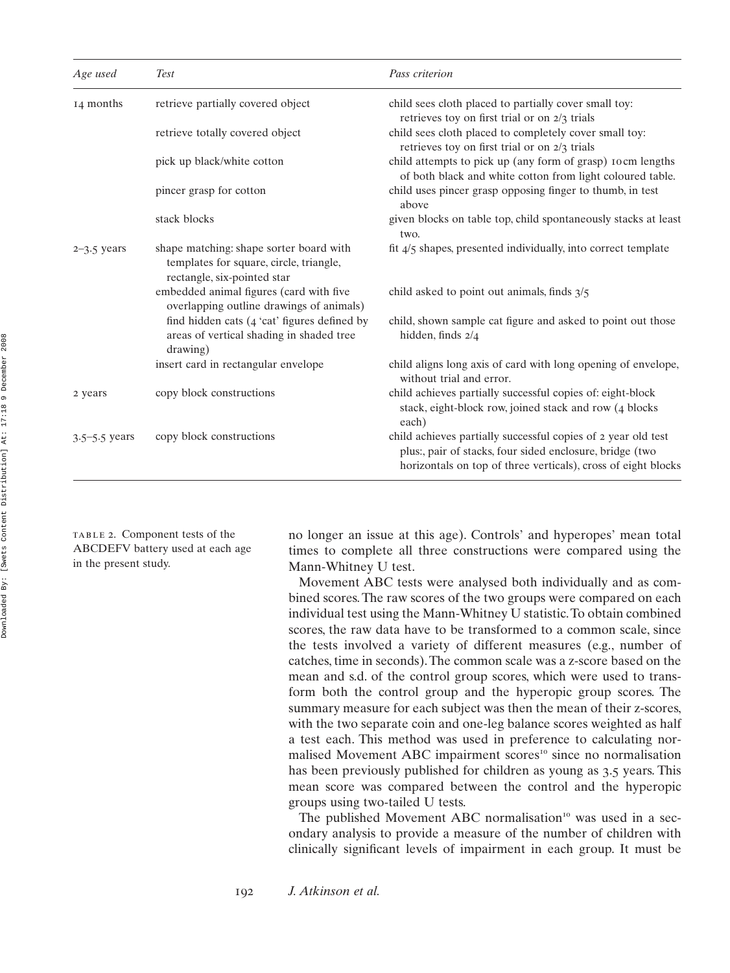| Age used          | <b>Test</b>                                                                                                       | Pass criterion                                                                                                                                                                             |
|-------------------|-------------------------------------------------------------------------------------------------------------------|--------------------------------------------------------------------------------------------------------------------------------------------------------------------------------------------|
| 14 months         | retrieve partially covered object                                                                                 | child sees cloth placed to partially cover small toy:<br>retrieves toy on first trial or on $2/3$ trials                                                                                   |
|                   | retrieve totally covered object                                                                                   | child sees cloth placed to completely cover small toy:<br>retrieves toy on first trial or on $2/3$ trials                                                                                  |
|                   | pick up black/white cotton                                                                                        | child attempts to pick up (any form of grasp) rocm lengths<br>of both black and white cotton from light coloured table.                                                                    |
|                   | pincer grasp for cotton                                                                                           | child uses pincer grasp opposing finger to thumb, in test<br>above                                                                                                                         |
|                   | stack blocks                                                                                                      | given blocks on table top, child spontaneously stacks at least<br>two.                                                                                                                     |
| $2-3.5$ years     | shape matching: shape sorter board with<br>templates for square, circle, triangle,<br>rectangle, six-pointed star | fit $4/5$ shapes, presented individually, into correct template                                                                                                                            |
|                   | embedded animal figures (card with five<br>overlapping outline drawings of animals)                               | child asked to point out animals, finds $3/5$                                                                                                                                              |
|                   | find hidden cats (4 'cat' figures defined by<br>areas of vertical shading in shaded tree<br>drawing)              | child, shown sample cat figure and asked to point out those<br>hidden, finds 2/4                                                                                                           |
|                   | insert card in rectangular envelope                                                                               | child aligns long axis of card with long opening of envelope,<br>without trial and error.                                                                                                  |
| 2 years           | copy block constructions                                                                                          | child achieves partially successful copies of: eight-block<br>stack, eight-block row, joined stack and row (4 blocks<br>each)                                                              |
| $3.5 - 5.5$ years | copy block constructions                                                                                          | child achieves partially successful copies of 2 year old test<br>plus:, pair of stacks, four sided enclosure, bridge (two<br>horizontals on top of three verticals), cross of eight blocks |

TABLE 2. Component tests of the ABCDEFV battery used at each age in the present study.

no longer an issue at this age). Controls' and hyperopes' mean total times to complete all three constructions were compared using the Mann-Whitney U test.

Movement ABC tests were analysed both individually and as combined scores. The raw scores of the two groups were compared on each individual test using the Mann-Whitney U statistic.To obtain combined scores, the raw data have to be transformed to a common scale, since the tests involved a variety of different measures (e.g., number of catches, time in seconds).The common scale was a z-score based on the mean and s.d. of the control group scores, which were used to transform both the control group and the hyperopic group scores. The summary measure for each subject was then the mean of their z-scores, with the two separate coin and one-leg balance scores weighted as half a test each. This method was used in preference to calculating normalised Movement ABC impairment scores<sup>10</sup> since no normalisation has been previously published for children as young as 3.5 years. This mean score was compared between the control and the hyperopic groups using two-tailed U tests.

The published Movement ABC normalisation $10$  was used in a secondary analysis to provide a measure of the number of children with clinically significant levels of impairment in each group. It must be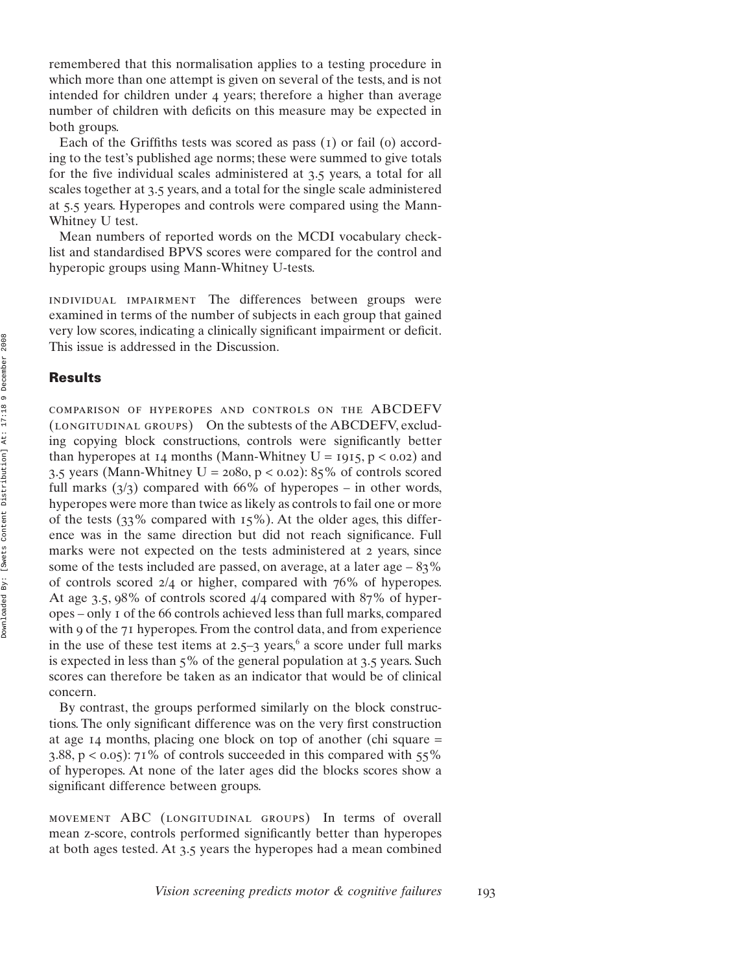remembered that this normalisation applies to a testing procedure in which more than one attempt is given on several of the tests, and is not intended for children under 4 years; therefore a higher than average number of children with deficits on this measure may be expected in both groups.

Each of the Griffiths tests was scored as pass (1) or fail (0) according to the test's published age norms; these were summed to give totals for the five individual scales administered at 3.5 years, a total for all scales together at 3.5 years, and a total for the single scale administered at 5.5 years. Hyperopes and controls were compared using the Mann-Whitney U test.

Mean numbers of reported words on the MCDI vocabulary checklist and standardised BPVS scores were compared for the control and hyperopic groups using Mann-Whitney U-tests.

individual impairment The differences between groups were examined in terms of the number of subjects in each group that gained very low scores, indicating a clinically significant impairment or deficit. This issue is addressed in the Discussion.

## **Results**

comparison of hyperopes and controls on the ABCDEFV (longitudinal groups) On the subtests of the ABCDEFV, excluding copying block constructions, controls were significantly better than hyperopes at 14 months (Mann-Whitney  $U = 1915$ ,  $p < 0.02$ ) and 3.5 years (Mann-Whitney  $U = 2080$ ,  $p < 0.02$ ): 85% of controls scored full marks  $(3/3)$  compared with 66% of hyperopes – in other words, hyperopes were more than twice as likely as controls to fail one or more of the tests  $(33\%$  compared with  $15\%$ ). At the older ages, this difference was in the same direction but did not reach significance. Full marks were not expected on the tests administered at 2 years, since some of the tests included are passed, on average, at a later age  $-83\%$ of controls scored 2/4 or higher, compared with 76% of hyperopes. At age 3.5, 98% of controls scored 4/4 compared with 87% of hyperopes – only 1 of the 66 controls achieved less than full marks, compared with 9 of the 71 hyperopes. From the control data, and from experience in the use of these test items at  $2.5-3$  years,<sup>6</sup> a score under full marks is expected in less than 5% of the general population at 3.5 years. Such scores can therefore be taken as an indicator that would be of clinical concern.

By contrast, the groups performed similarly on the block constructions. The only significant difference was on the very first construction at age 14 months, placing one block on top of another (chi square = 3.88,  $p < 0.05$ : 71% of controls succeeded in this compared with 55% of hyperopes. At none of the later ages did the blocks scores show a significant difference between groups.

movement ABC (longitudinal groups) In terms of overall mean z-score, controls performed significantly better than hyperopes at both ages tested. At 3.5 years the hyperopes had a mean combined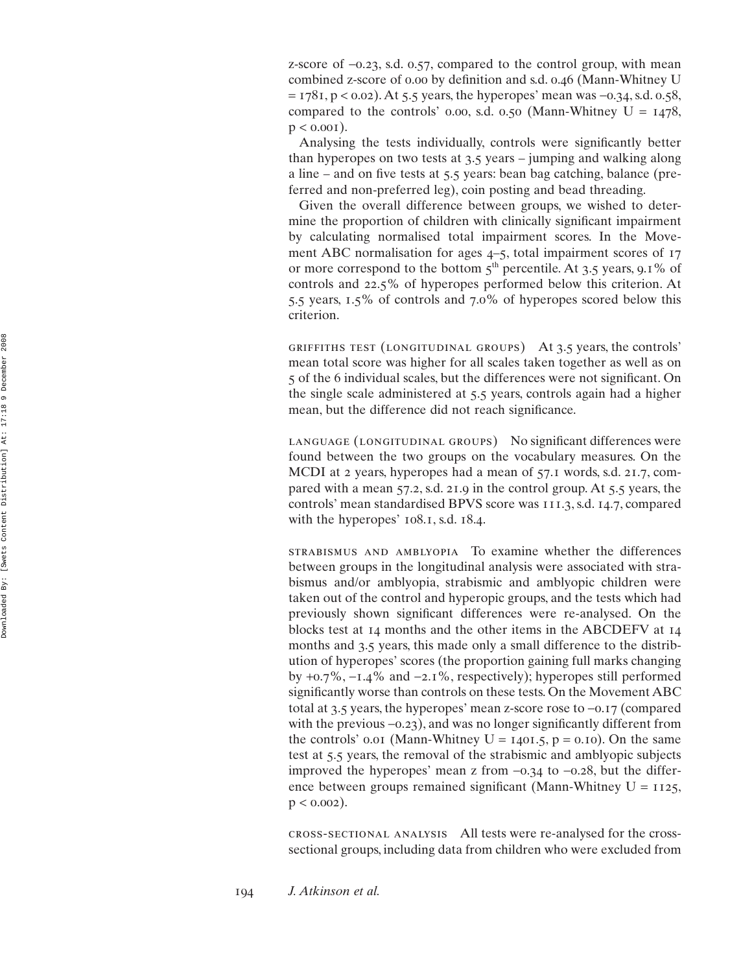z-score of  $-0.23$ , s.d. 0.57, compared to the control group, with mean combined z-score of 0.00 by definition and s.d. 0.46 (Mann-Whitney U  $= 1781, p < 0.02$ ). At 5.5 years, the hyperopes' mean was  $-0.34$ , s.d.  $0.58$ , compared to the controls' 0.00, s.d. 0.50 (Mann-Whitney  $U = 1478$ ,  $p < 0.001$ ).

Analysing the tests individually, controls were significantly better than hyperopes on two tests at 3 . 5 years – jumping and walking along a line – and on five tests at 5 . 5 years: bean bag catching, balance (preferred and non-preferred leg), coin posting and bead threading.

Given the overall difference between groups, we wished to determine the proportion of children with clinically significant impairment by calculating normalised total impairment scores. In the Movement ABC normalisation for ages 4–5, total impairment scores of 17 or more correspond to the bottom  $5<sup>th</sup>$  percentile. At 3.5 years, 9.1% of controls and 22 . 5% of hyperopes performed below this criterion. At 5 . 5 years, 1 . 5% of controls and 7 . 0% of hyperopes scored below this criterion.

GRIFFITHS TEST (LONGITUDINAL GROUPS) At 3.5 years, the controls' mean total score was higher for all scales taken together as well as on 5 of the 6 individual scales, but the differences were not significant. On the single scale administered at 5 . 5 years, controls again had a higher mean, but the difference did not reach significance.

language (longitudinal groups) No significant differences were found between the two groups on the vocabulary measures. On the MCDI at 2 years, hyperopes had a mean of 57.1 words, s.d. 21.7, compared with a mean 57.2, s.d. 21.9 in the control group. At 5.5 years, the controls' mean standardised BPVS score was 111 . 3, s.d. 14 . 7, compared with the hyperopes' 108.1, s.d. 18.4.

strabismus and amblyopia To examine whether the differences between groups in the longitudinal analysis were associated with strabismus and/or amblyopia, strabismic and amblyopic children were taken out of the control and hyperopic groups, and the tests which had previously shown significant differences were re-analysed. On the blocks test at 14 months and the other items in the ABCDEFV at 14 months and 3 . 5 years, this made only a small difference to the distribution of hyperopes' scores (the proportion gaining full marks changing by  $+0.7\%$ ,  $-1.4\%$  and  $-2.1\%$ , respectively); hyperopes still performed significantly worse than controls on these tests. On the Movement ABC total at 3.5 years, the hyperopes' mean z-score rose to -0.17 (compared with the previous -0.23), and was no longer significantly different from the controls'  $0.01$  (Mann-Whitney U =  $1401.5$ , p =  $0.10$ ). On the same test at 5 . 5 years, the removal of the strabismic and amblyopic subjects improved the hyperopes' mean z from -0.34 to -0.28, but the difference between groups remained significant (Mann-Whitney  $U = 1125$ ,  $p < 0.002$ ).

cross -sectional analysis All tests were re-analysed for the crosssectional groups, including data from children who were excluded from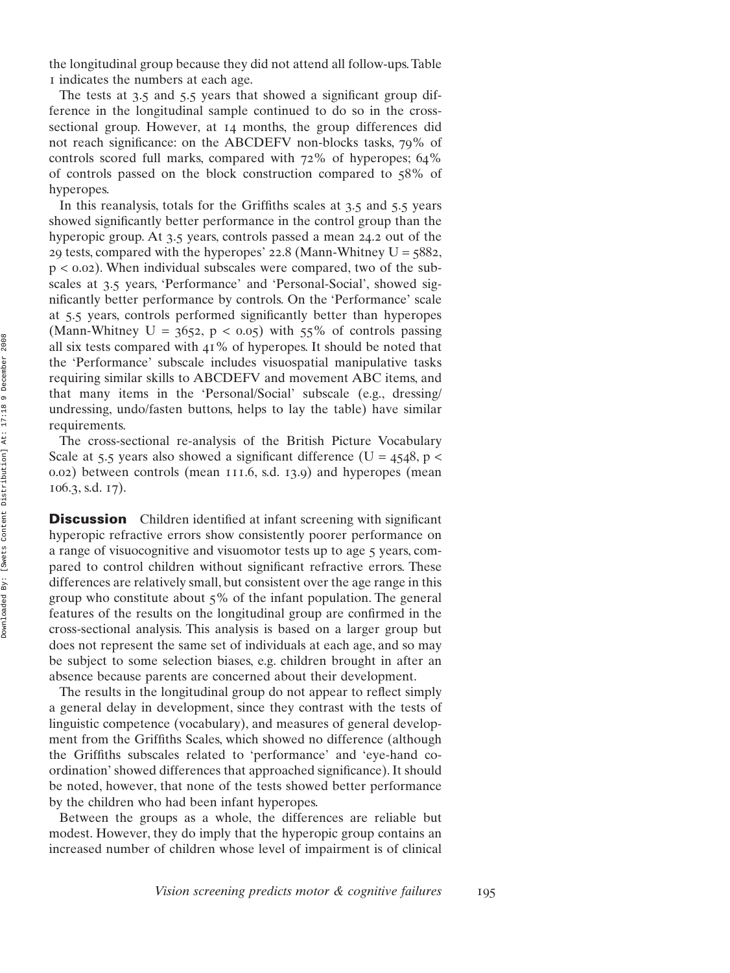the longitudinal group because they did not attend all follow-ups.Table 1 indicates the numbers at each age.

The tests at 3.5 and 5.5 years that showed a significant group difference in the longitudinal sample continued to do so in the crosssectional group. However, at 14 months, the group differences did not reach significance: on the ABCDEFV non-blocks tasks, 79% of controls scored full marks, compared with 72% of hyperopes; 64% of controls passed on the block construction compared to 58% of hyperopes.

In this reanalysis, totals for the Griffiths scales at 3.5 and 5.5 years showed significantly better performance in the control group than the hyperopic group. At 3.5 years, controls passed a mean 24.2 out of the 29 tests, compared with the hyperopes' 22.8 (Mann-Whitney  $U = 5882$ ,  $p < 0.02$ ). When individual subscales were compared, two of the subscales at 3.5 years, 'Performance' and 'Personal-Social', showed significantly better performance by controls. On the 'Performance' scale at 5.5 years, controls performed significantly better than hyperopes (Mann-Whitney U =  $3652$ , p < 0.05) with  $55\%$  of controls passing all six tests compared with 41% of hyperopes. It should be noted that the 'Performance' subscale includes visuospatial manipulative tasks requiring similar skills to ABCDEFV and movement ABC items, and that many items in the 'Personal/Social' subscale (e.g., dressing/ undressing, undo/fasten buttons, helps to lay the table) have similar requirements.

The cross-sectional re-analysis of the British Picture Vocabulary Scale at 5.5 years also showed a significant difference (U =  $4548$ , p < 0.02) between controls (mean 111.6, s.d. 13.9) and hyperopes (mean 106.3, s.d. 17).

**Discussion** Children identified at infant screening with significant hyperopic refractive errors show consistently poorer performance on a range of visuocognitive and visuomotor tests up to age 5 years, compared to control children without significant refractive errors. These differences are relatively small, but consistent over the age range in this group who constitute about 5% of the infant population. The general features of the results on the longitudinal group are confirmed in the cross-sectional analysis. This analysis is based on a larger group but does not represent the same set of individuals at each age, and so may be subject to some selection biases, e.g. children brought in after an absence because parents are concerned about their development.

The results in the longitudinal group do not appear to reflect simply a general delay in development, since they contrast with the tests of linguistic competence (vocabulary), and measures of general development from the Griffiths Scales, which showed no difference (although the Griffiths subscales related to 'performance' and 'eye-hand coordination' showed differences that approached significance). It should be noted, however, that none of the tests showed better performance by the children who had been infant hyperopes.

Between the groups as a whole, the differences are reliable but modest. However, they do imply that the hyperopic group contains an increased number of children whose level of impairment is of clinical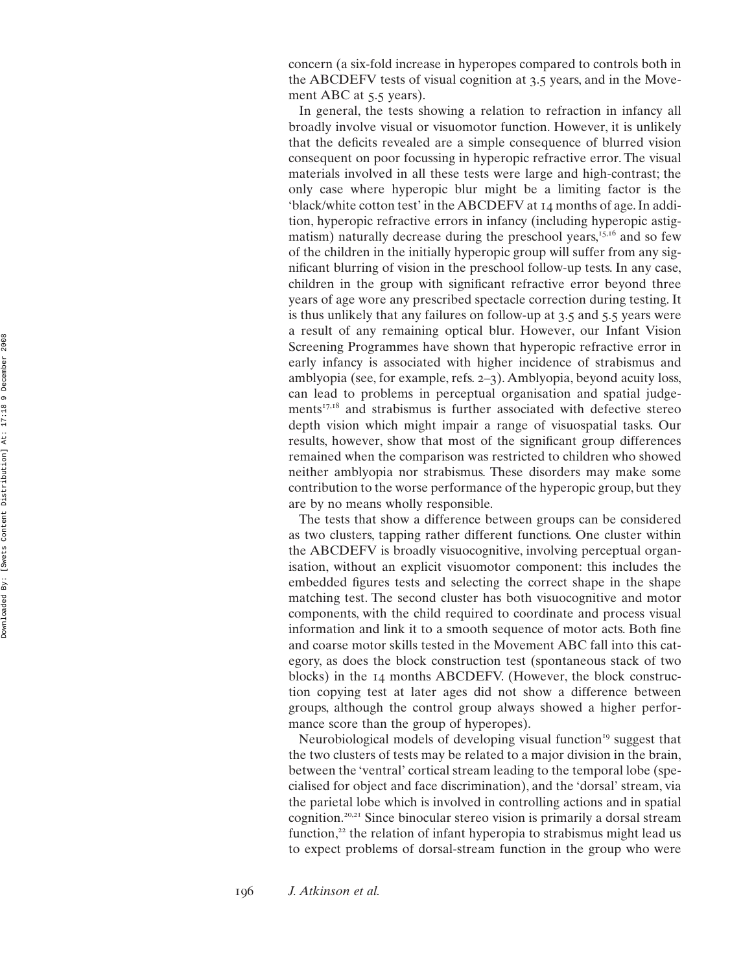concern (a six-fold increase in hyperopes compared to controls both in the ABCDEFV tests of visual cognition at 3 . 5 years, and in the Movement ABC at 5.5 years).

In general, the tests showing a relation to refraction in infancy all broadly involve visual or visuomotor function. However, it is unlikely that the deficits revealed are a simple consequence of blurred vision consequent on poor focussing in hyperopic refractive error. The visual materials involved in all these tests were large and high-contrast; the only case where hyperopic blur might be a limiting factor is th e 'black/white cotton test' in the ABCDEFV at 14 months of age. In addition, hyperopic refractive errors in infancy (including hyperopic astigmatism) naturally decrease during the preschool years,<sup>15,16</sup> and so few of the children in the initially hyperopic group will suffer from any significant blurring of vision in the preschool follow-up tests. In any case, children in the group with significant refractive error beyond three years of age wore any prescribed spectacle correction during testing. It is thus unlikely that any failures on follow-up at 3.5 and 5.5 years were a result of any remaining optical blur. However, our Infant Visio n Screening Programmes have shown that hyperopic refractive error in early infancy is associated with higher incidence of strabismus and amblyopia (see, for example, refs. 2 – 3). Amblyopia, beyond acuity loss, can lead to problems in perceptual organisation and spatial judgements $17,18$  and strabismus is further associated with defective stereo depth vision which might impair a range of visuospatial tasks. Our results, however, show that most of the significant group differences remained when the comparison was restricted to children who showed neither amblyopia nor strabismus. These disorders may make some contribution to the worse performance of the hyperopic group, but they are by no means wholly responsible.

The tests that show a difference between groups can be considered as two clusters, tapping rather different functions. One cluster within the ABCDEFV is broadly visuocognitive, involving perceptual organisation, without an explicit visuomotor component: this includes the embedded figures tests and selecting the correct shape in the shape matching test. The second cluster has both visuocognitive and motor components, with the child required to coordinate and process visual information and link it to a smooth sequence of motor acts. Both fine and coarse motor skills tested in the Movement ABC fall into this category, as does the block construction test (spontaneous stack of two blocks) in the 14 months ABCDEFV. (However, the block construction copying test at later ages did not show a difference between groups, although the control group always showed a higher perfor mance score than the group of hyperopes).

Neurobiological models of developing visual function<sup>19</sup> suggest that the two clusters of tests may be related to a major division in the brain, between the 'ventral' cortical stream leading to the temporal lobe (specialised for object and face discrimination), and the 'dorsal' stream, via the parietal lobe which is involved in controlling actions and in spatial cognition.<sup>20,21</sup> Since binocular stereo vision is primarily a dorsal stream function, $2<sup>2</sup>$  the relation of infant hyperopia to strabismus might lead us to expect problems of dorsal-stream function in the group who were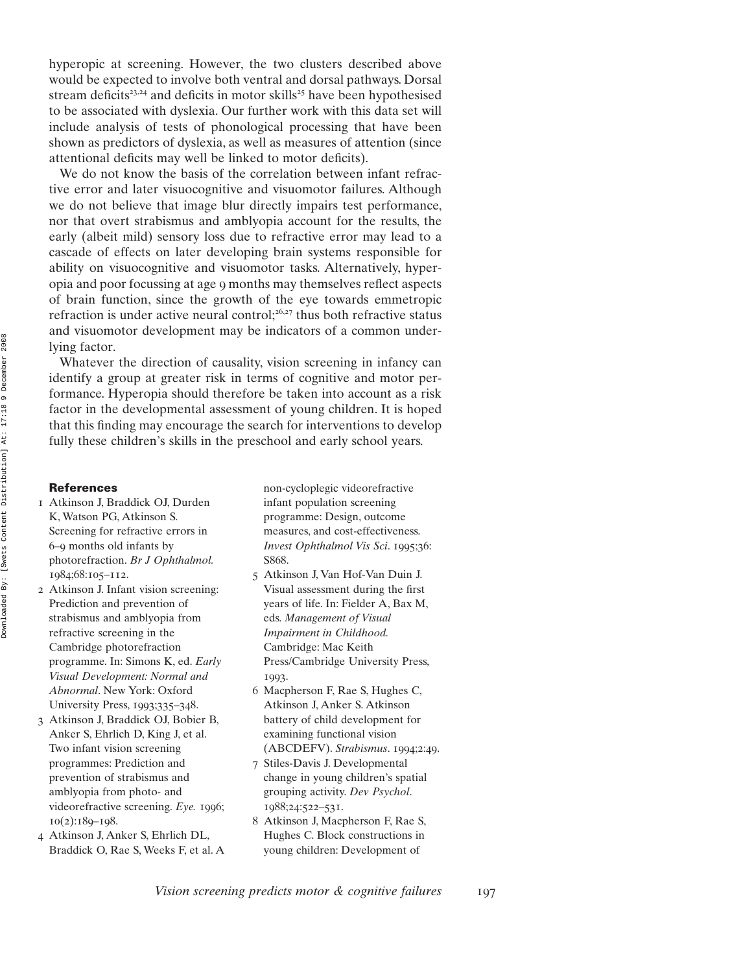hyperopic at screening. However, the two clusters described above would be expected to involve both ventral and dorsal pathways. Dorsal stream deficits<sup>23,24</sup> and deficits in motor skills<sup>25</sup> have been hypothesised to be associated with dyslexia. Our further work with this data set will include analysis of tests of phonological processing that have been shown as predictors of dyslexia, as well as measures of attention (since attentional deficits may well be linked to motor deficits).

We do not know the basis of the correlation between infant refractive error and later visuocognitive and visuomotor failures. Although we do not believe that image blur directly impairs test performance, nor that overt strabismus and amblyopia account for the results, the early (albeit mild) sensory loss due to refractive error may lead to a cascade of effects on later developing brain systems responsible for ability on visuocognitive and visuomotor tasks. Alternatively, hyperopia and poor focussing at age 9 months may themselves reflect aspects of brain function, since the growth of the eye towards emmetropic refraction is under active neural control;<sup>26,27</sup> thus both refractive status and visuomotor development may be indicators of a common underlying factor.

Whatever the direction of causality, vision screening in infancy can identify a group at greater risk in terms of cognitive and motor performance. Hyperopia should therefore be taken into account as a risk factor in the developmental assessment of young children. It is hoped that this finding may encourage the search for interventions to develop fully these children's skills in the preschool and early school years.

#### **References**

- 1 Atkinson J, Braddick OJ, Durden K, Watson PG, Atkinson S. Screening for refractive errors in 6–9 months old infants by photorefraction. *Br J Ophthalmol.* 1984;68:105–112.
- 2 Atkinson J. Infant vision screening: Prediction and prevention of strabismus and amblyopia from refractive screening in the Cambridge photorefraction programme. In: Simons K, ed. *Early Visual Development: Normal and Abnormal*. New York: Oxford University Press, 1993;335–348.
- 3 Atkinson J, Braddick OJ, Bobier B, Anker S, Ehrlich D, King J, et al. Two infant vision screening programmes: Prediction and prevention of strabismus and amblyopia from photo- and videorefractive screening. *Eye.* 1996; 10(2):189–198.
- 4 Atkinson J, Anker S, Ehrlich DL, Braddick O, Rae S, Weeks F, et al. A

non-cycloplegic videorefractive infant population screening programme: Design, outcome measures, and cost-effectiveness. *Invest Ophthalmol Vis Sci*. 1995;36: S868.

- 5 Atkinson J, Van Hof-Van Duin J. Visual assessment during the first years of life. In: Fielder A, Bax M, eds. *Management of Visual Impairment in Childhood.* Cambridge: Mac Keith Press/Cambridge University Press, 1993.
- 6 Macpherson F, Rae S, Hughes C, Atkinson J, Anker S. Atkinson battery of child development for examining functional vision (ABCDEFV). *Strabismus*. 1994;2:49.
- 7 Stiles-Davis J. Developmental change in young children's spatial grouping activity. *Dev Psychol*. 1988;24:522–531.
- 8 Atkinson J, Macpherson F, Rae S, Hughes C. Block constructions in young children: Development of